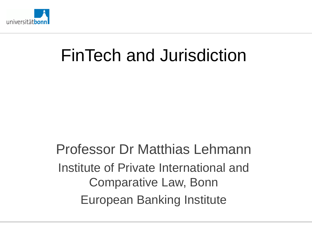

# FinTech and Jurisdiction

Professor Dr Matthias Lehmann Institute of Private International and Comparative Law, Bonn European Banking Institute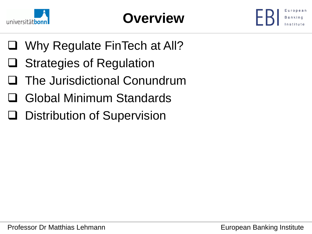



- □ Why Regulate FinTech at All?
- □ Strategies of Regulation
- **□ The Jurisdictional Conundrum**
- Global Minimum Standards
- **Q** Distribution of Supervision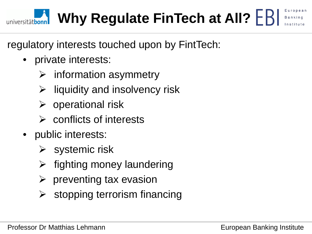### regulatory interests touched upon by FintTech:

- private interests:
	- $\triangleright$  information asymmetry
	- $\triangleright$  liquidity and insolvency risk
	- $\triangleright$  operational risk
	- $\triangleright$  conflicts of interests
- public interests:
	- $\triangleright$  systemic risk
	- $\triangleright$  fighting money laundering
	- $\triangleright$  preventing tax evasion
	- $\triangleright$  stopping terrorism financing

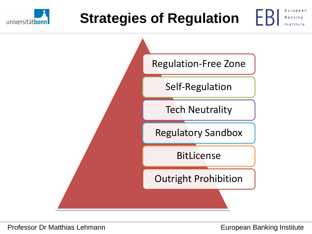

## **Strategies of Regulation**



European Banking

Institute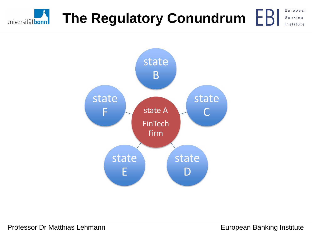### European **The Regulatory Conundrum Banking** universitätbonn Institute

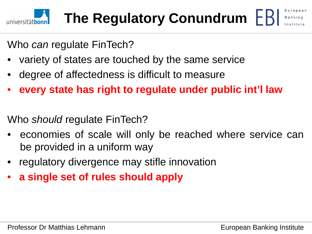

Who *can* regulate FinTech?

- variety of states are touched by the same service
- degree of affectedness is difficult to measure
- **every state has right to regulate under public int'l law**

Who *should* regulate FinTech?

- economies of scale will only be reached where service can be provided in a uniform way
- regulatory divergence may stifle innovation
- **a single set of rules should apply**

European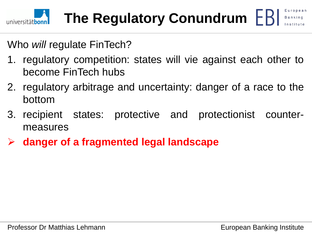

Who *will* regulate FinTech?

- 1. regulatory competition: states will vie against each other to become FinTech hubs
- 2. regulatory arbitrage and uncertainty: danger of a race to the bottom
- 3. recipient states: protective and protectionist countermeasures
- **danger of a fragmented legal landscape**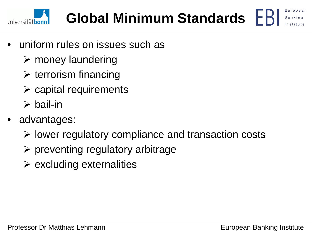

## **Global Minimum Standards**

- uniform rules on issues such as
	- $\triangleright$  money laundering
	- $\triangleright$  terrorism financing
	- $\triangleright$  capital requirements
	- $\triangleright$  bail-in
- advantages:
	- $\triangleright$  lower regulatory compliance and transaction costs
	- $\triangleright$  preventing regulatory arbitrage
	- $\triangleright$  excluding externalities

European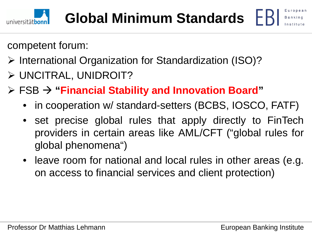

## **Global Minimum Standards**

European

competent forum:

- International Organization for Standardization (ISO)?
- UNCITRAL, UNIDROIT?
- FSB **"Financial Stability and Innovation Board"**
	- in cooperation w/ standard-setters (BCBS, IOSCO, FATF)
	- set precise global rules that apply directly to FinTech providers in certain areas like AML/CFT ("global rules for global phenomena")
	- leave room for national and local rules in other areas (e.g. on access to financial services and client protection)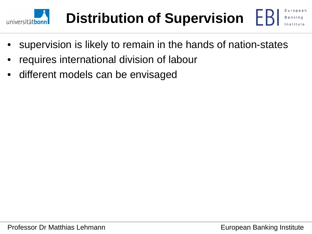



- requires international division of labour
- different models can be envisaged

uropean **Banking**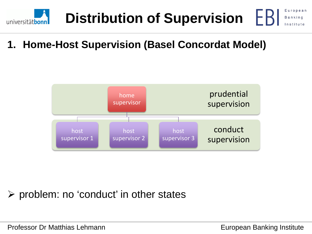





### $\triangleright$  problem: no 'conduct' in other states

Professor Dr Matthias Lehmann **European Banking Institute** 

European

Banking

Institute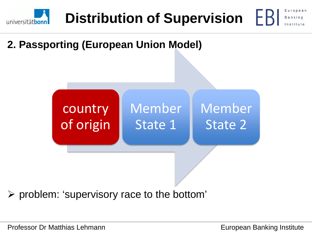

**2. Passporting (European Union Model)**



 $\triangleright$  problem: 'supervisory race to the bottom'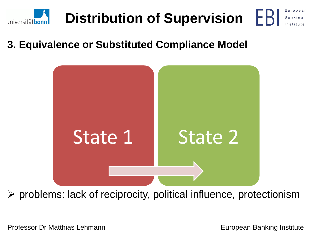





 $\triangleright$  problems: lack of reciprocity, political influence, protectionism

Banking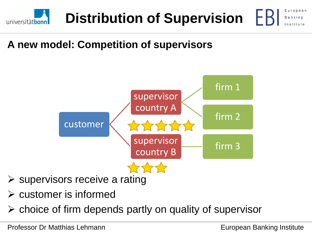

### **A new model: Competition of supervisors**



- $\triangleright$  supervisors receive a rating
- $\triangleright$  customer is informed
- $\triangleright$  choice of firm depends partly on quality of supervisor